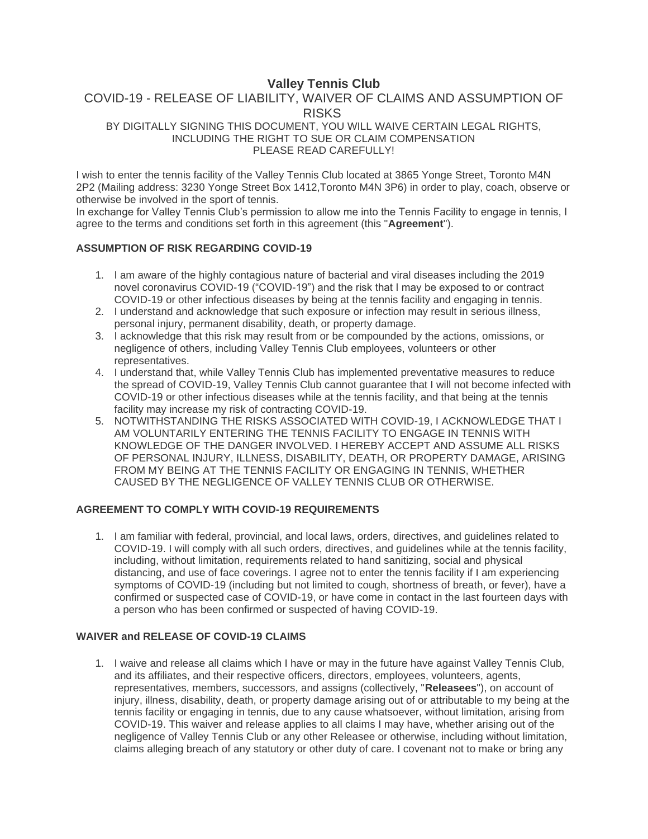# **Valley Tennis Club**

# COVID-19 - RELEASE OF LIABILITY, WAIVER OF CLAIMS AND ASSUMPTION OF RISKS

BY DIGITALLY SIGNING THIS DOCUMENT, YOU WILL WAIVE CERTAIN LEGAL RIGHTS, INCLUDING THE RIGHT TO SUE OR CLAIM COMPENSATION PLEASE READ CAREFULLY!

I wish to enter the tennis facility of the Valley Tennis Club located at 3865 Yonge Street, Toronto M4N 2P2 (Mailing address: 3230 Yonge Street Box 1412,Toronto M4N 3P6) in order to play, coach, observe or otherwise be involved in the sport of tennis.

In exchange for Valley Tennis Club's permission to allow me into the Tennis Facility to engage in tennis, I agree to the terms and conditions set forth in this agreement (this "**Agreement**").

### **ASSUMPTION OF RISK REGARDING COVID-19**

- 1. I am aware of the highly contagious nature of bacterial and viral diseases including the 2019 novel coronavirus COVID-19 ("COVID-19") and the risk that I may be exposed to or contract COVID-19 or other infectious diseases by being at the tennis facility and engaging in tennis.
- 2. I understand and acknowledge that such exposure or infection may result in serious illness, personal injury, permanent disability, death, or property damage.
- 3. I acknowledge that this risk may result from or be compounded by the actions, omissions, or negligence of others, including Valley Tennis Club employees, volunteers or other representatives.
- 4. I understand that, while Valley Tennis Club has implemented preventative measures to reduce the spread of COVID-19, Valley Tennis Club cannot guarantee that I will not become infected with COVID-19 or other infectious diseases while at the tennis facility, and that being at the tennis facility may increase my risk of contracting COVID-19.
- 5. NOTWITHSTANDING THE RISKS ASSOCIATED WITH COVID-19, I ACKNOWLEDGE THAT I AM VOLUNTARILY ENTERING THE TENNIS FACILITY TO ENGAGE IN TENNIS WITH KNOWLEDGE OF THE DANGER INVOLVED. I HEREBY ACCEPT AND ASSUME ALL RISKS OF PERSONAL INJURY, ILLNESS, DISABILITY, DEATH, OR PROPERTY DAMAGE, ARISING FROM MY BEING AT THE TENNIS FACILITY OR ENGAGING IN TENNIS, WHETHER CAUSED BY THE NEGLIGENCE OF VALLEY TENNIS CLUB OR OTHERWISE.

# **AGREEMENT TO COMPLY WITH COVID-19 REQUIREMENTS**

1. I am familiar with federal, provincial, and local laws, orders, directives, and guidelines related to COVID-19. I will comply with all such orders, directives, and guidelines while at the tennis facility, including, without limitation, requirements related to hand sanitizing, social and physical distancing, and use of face coverings. I agree not to enter the tennis facility if I am experiencing symptoms of COVID-19 (including but not limited to cough, shortness of breath, or fever), have a confirmed or suspected case of COVID-19, or have come in contact in the last fourteen days with a person who has been confirmed or suspected of having COVID-19.

#### **WAIVER and RELEASE OF COVID-19 CLAIMS**

1. I waive and release all claims which I have or may in the future have against Valley Tennis Club, and its affiliates, and their respective officers, directors, employees, volunteers, agents, representatives, members, successors, and assigns (collectively, "**Releasees**"), on account of injury, illness, disability, death, or property damage arising out of or attributable to my being at the tennis facility or engaging in tennis, due to any cause whatsoever, without limitation, arising from COVID-19. This waiver and release applies to all claims I may have, whether arising out of the negligence of Valley Tennis Club or any other Releasee or otherwise, including without limitation, claims alleging breach of any statutory or other duty of care. I covenant not to make or bring any